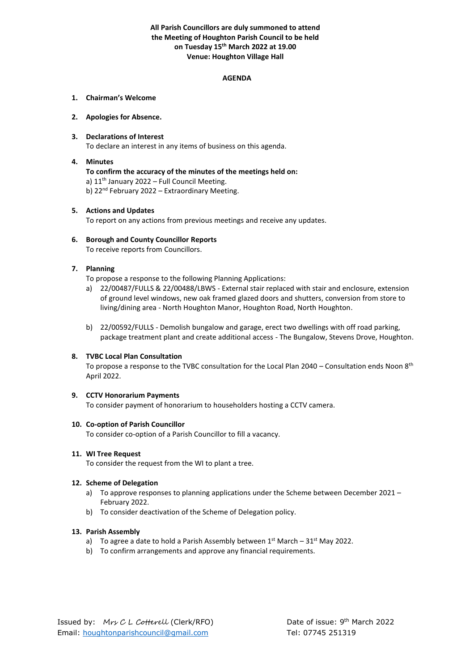# **All Parish Councillors are duly summoned to attend the Meeting of Houghton Parish Council to be held on Tuesday 15th March 2022 at 19.00 Venue: Houghton Village Hall**

#### **AGENDA**

#### **1. Chairman's Welcome**

#### **2. Apologies for Absence.**

# **3. Declarations of Interest**

To declare an interest in any items of business on this agenda.

# **4. Minutes**

**To confirm the accuracy of the minutes of the meetings held on:** a) 11<sup>th</sup> January 2022 – Full Council Meeting. b) 22<sup>nd</sup> February 2022 – Extraordinary Meeting.

#### **5. Actions and Updates**

To report on any actions from previous meetings and receive any updates.

# **6. Borough and County Councillor Reports**

To receive reports from Councillors.

## **7. Planning**

To propose a response to the following Planning Applications:

- a) 22/00487/FULLS & 22/00488/LBWS External stair replaced with stair and enclosure, extension of ground level windows, new oak framed glazed doors and shutters, conversion from store to living/dining area - North Houghton Manor, Houghton Road, North Houghton.
- b) 22/00592/FULLS Demolish bungalow and garage, erect two dwellings with off road parking, package treatment plant and create additional access - The Bungalow, Stevens Drove, Houghton.

## **8. TVBC Local Plan Consultation**

To propose a response to the TVBC consultation for the Local Plan 2040 – Consultation ends Noon 8th April 2022.

## **9. CCTV Honorarium Payments**

To consider payment of honorarium to householders hosting a CCTV camera.

## **10. Co-option of Parish Councillor**

To consider co-option of a Parish Councillor to fill a vacancy.

#### **11. WI Tree Request**

To consider the request from the WI to plant a tree.

## **12. Scheme of Delegation**

- a) To approve responses to planning applications under the Scheme between December 2021 February 2022.
- b) To consider deactivation of the Scheme of Delegation policy.

#### **13. Parish Assembly**

- a) To agree a date to hold a Parish Assembly between  $1<sup>st</sup>$  March 31 $<sup>st</sup>$  May 2022.</sup>
- b) To confirm arrangements and approve any financial requirements.